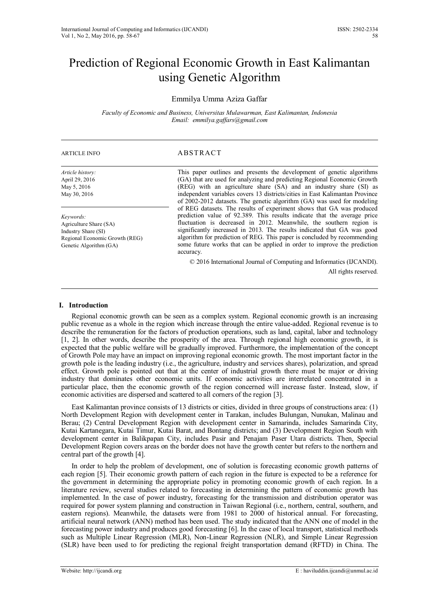# Prediction of Regional Economic Growth in East Kalimantan using Genetic Algorithm

## Emmilya Umma Aziza Gaffar

*Faculty of Economic and Business, Universitas Mulawarman, East Kalimantan, Indonesia Email: emmilya.gaffars@gmail.com*

#### ARTICLE INFO ABSTRACT

| Article history:<br>April 29, 2016<br>May 5, 2016<br>May 30, 2016                                                      | This paper outlines and presents the development of genetic algorithms<br>(GA) that are used for analyzing and predicting Regional Economic Growth<br>(REG) with an agriculture share (SA) and an industry share (SI) as<br>independent variables covers 13 districts/cities in East Kalimantan Province<br>of 2002-2012 datasets. The genetic algorithm (GA) was used for modeling                                                                                      |
|------------------------------------------------------------------------------------------------------------------------|--------------------------------------------------------------------------------------------------------------------------------------------------------------------------------------------------------------------------------------------------------------------------------------------------------------------------------------------------------------------------------------------------------------------------------------------------------------------------|
| Keywords:<br>Agriculture Share (SA)<br>Industry Share (SI)<br>Regional Economic Growth (REG)<br>Genetic Algorithm (GA) | of REG datasets. The results of experiment shows that GA was produced<br>prediction value of 92.389. This results indicate that the average price<br>fluctuation is decreased in 2012. Meanwhile, the southern region is<br>significantly increased in 2013. The results indicated that GA was good<br>algorithm for prediction of REG. This paper is concluded by recommending<br>some future works that can be applied in order to improve the prediction<br>accuracy. |
|                                                                                                                        | © 2016 International Journal of Computing and Informatics (IJCANDI).                                                                                                                                                                                                                                                                                                                                                                                                     |
|                                                                                                                        | All rights reserved.                                                                                                                                                                                                                                                                                                                                                                                                                                                     |

### **I. Introduction**

Regional economic growth can be seen as a complex system. Regional economic growth is an increasing public revenue as a whole in the region which increase through the entire value-added. Regional revenue is to describe the remuneration for the factors of production operations, such as land, capital, labor and technology [\[1,](#page-8-0) [2\]](#page-8-1). In other words, describe the prosperity of the area. Through regional high economic growth, it is expected that the public welfare will be gradually improved. Furthermore, the implementation of the concept of Growth Pole may have an impact on improving regional economic growth. The most important factor in the growth pole is the leading industry (i.e., the agriculture, industry and services shares), polarization, and spread effect. Growth pole is pointed out that at the center of industrial growth there must be major or driving industry that dominates other economic units. If economic activities are interrelated concentrated in a particular place, then the economic growth of the region concerned will increase faster. Instead, slow, if economic activities are dispersed and scattered to all corners of the region [\[3\]](#page-8-2).

East Kalimantan province consists of 13 districts or cities, divided in three groups of constructions area: (1) North Development Region with development center in Tarakan, includes Bulungan, Nunukan, Malinau and Berau; (2) Central Development Region with development center in Samarinda, includes Samarinda City, Kutai Kartanegara, Kutai Timur, Kutai Barat, and Bontang districts; and (3) Development Region South with development center in Balikpapan City, includes Pasir and Penajam Paser Utara districts. Then, Special Development Region covers areas on the border does not have the growth center but refers to the northern and central part of the growth [\[4\]](#page-8-3).

In order to help the problem of development, one of solution is forecasting economic growth patterns of each region [\[5\]](#page-8-4). Their economic growth pattern of each region in the future is expected to be a reference for the government in determining the appropriate policy in promoting economic growth of each region. In a literature review, several studies related to forecasting in determining the pattern of economic growth has implemented. In the case of power industry, forecasting for the transmission and distribution operator was required for power system planning and construction in Taiwan Regional (i.e., northern, central, southern, and eastern regions). Meanwhile, the datasets were from 1981 to 2000 of historical annual. For forecasting, artificial neural network (ANN) method has been used. The study indicated that the ANN one of model in the forecasting power industry and produces good forecasting [\[6\]](#page-8-5). In the case of local transport, statistical methods such as Multiple Linear Regression (MLR), Non-Linear Regression (NLR), and Simple Linear Regression (SLR) have been used to for predicting the regional freight transportation demand (RFTD) in China. The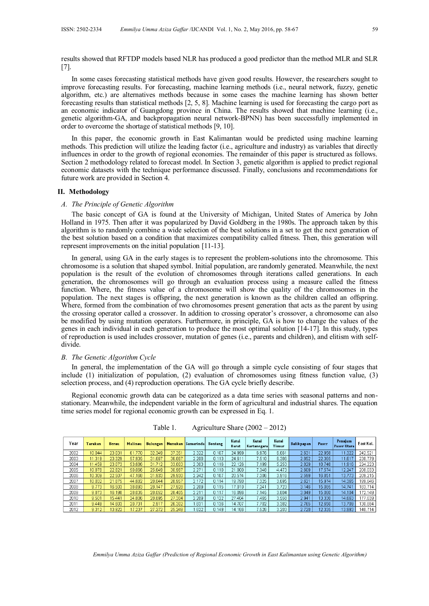results showed that RFTDP models based NLR has produced a good predictor than the method MLR and SLR [\[7\]](#page-8-6).

In some cases forecasting statistical methods have given good results. However, the researchers sought to improve forecasting results. For forecasting, machine learning methods (i.e., neural network, fuzzy, genetic algorithm, etc.) are alternatives methods because in some cases the machine learning has shown better forecasting results than statistical methods [\[2,](#page-8-1) [5,](#page-8-4) [8\]](#page-8-7). Machine learning is used for forecasting the cargo port as an economic indicator of Guangdong province in China. The results showed that machine learning (i.e., genetic algorithm-GA, and backpropagation neural network-BPNN) has been successfully implemented in order to overcome the shortage of statistical methods [\[9,](#page-8-8) [10\]](#page-8-9).

In this paper, the economic growth in East Kalimantan would be predicted using machine learning methods. This prediction will utilize the leading factor (i.e., agriculture and industry) as variables that directly influences in order to the growth of regional economies. The remainder of this paper is structured as follows. Section 2 methodology related to forecast model. In Section 3, genetic algorithm is applied to predict regional economic datasets with the technique performance discussed. Finally, conclusions and recommendations for future work are provided in Section 4.

#### **II. Methodology**

#### *A. The Principle of Genetic Algorithm*

The basic concept of GA is found at the University of Michigan, United States of America by John Holland in 1975. Then after it was popularized by David Goldberg in the 1980s. The approach taken by this algorithm is to randomly combine a wide selection of the best solutions in a set to get the next generation of the best solution based on a condition that maximizes compatibility called fitness. Then, this generation will represent improvements on the initial population [\[11-13\]](#page-8-10).

In general, using GA in the early stages is to represent the problem-solutions into the chromosome. This chromosome is a solution that shaped symbol. Initial population, are randomly generated. Meanwhile, the next population is the result of the evolution of chromosomes through iterations called generations. In each generation, the chromosomes will go through an evaluation process using a measure called the fitness function. Where, the fitness value of a chromosome will show the quality of the chromosomes in the population. The next stages is offspring, the next generation is known as the children called an offspring. Where, formed from the combination of two chromosomes present generation that acts as the parent by using the crossing operator called a crossover. In addition to crossing operator's crossover, a chromosome can also be modified by using mutation operators. Furthermore, in principle, GA is how to change the values of the genes in each individual in each generation to produce the most optimal solution [\[14-17\]](#page-9-0). In this study, types of reproduction is used includes crossover, mutation of genes (i.e., parents and children), and elitism with selfdivide.

#### *B. The Genetic Algorithm Cycle*

In general, the implementation of the GA will go through a simple cycle consisting of four stages that include (1) initialization of population, (2) evaluation of chromosomes using fitness function value, (3) selection process, and (4) reproduction operations. The GA cycle briefly describe.

Regional economic growth data can be categorized as a data time series with seasonal patterns and nonstationary. Meanwhile, the independent variable in the form of agricultural and industrial shares. The equation time series model for regional economic growth can be expressed in Eq. 1.

| Year | Tarakan | <b>Berau</b> | Malinau | <b>Bulungan</b> |        | Nunukan Samarinda | <b>Bontang</b> | Kutai<br>Barat | Kutai<br>Kartanegara | Kutai<br>Timur | <b>Balikpapan</b> | Paser  | Penajam<br><b>Paser Utara</b> | East Kal. |
|------|---------|--------------|---------|-----------------|--------|-------------------|----------------|----------------|----------------------|----------------|-------------------|--------|-------------------------------|-----------|
| 2002 | 10.044  | 23.031       | 61 770  | 32.349          | 37.351 | 2.322             | 0.107          | 24.999         | 6.976                | 6.661          | 2.631             | 22.958 | 11.322                        | 242.521   |
| 2003 | 1.319   | 23.329       | 57.935  | 31.667          | 36.867 | 2.208             | 0.113          | 24.611         | 7.510                | 6.386          | 2.852             | 22.365 | 11.617                        | 238.779   |
| 2004 | 1.459   | 23.073       | 53.686  | 31.712          | 33,803 | 2.303             | 0.116          | 22.126         | 7.199                | 5.253          | 2.829             | 18.748 | 11.916                        | 224.223   |
| 2005 | 10.878  | 22.821       | 50.066  | 25.649          | 30.987 | 2.271             | 0.110          | 21.000         | 7.348                | 4.473          | 2.609             | 17.574 | 12.247                        | 208.033   |
| 2006 | 10.309  | 22.507       | 47.168  | 31,933          | 29.930 | 2.242             | 0.107          | 20.574         | 7.306                | 3.916          | 2.599             | 16.851 | 13.773                        | 209.215   |
| 2007 | 10.032  | 21.875       | 44.682  | 28.044          | 28.957 | 2.172             | 0.114          | 19.790         | 7.325                | 3.695          | 2.621             | 15.974 | 14.365                        | 199.646   |
| 2008 | 9.773   | 16.503       | 38.093  | 28.147          | 27.928 | 2.209             | 0.115          | 17.010         | 7.241                | 3.723          | 3.146             | 15.085 | 14.741                        | 183.714   |
| 2009 | 9.873   | 16.198       | 28.035  | 28.052          | 28.405 | 2.211             | 0.117          | 16.096         | 7.145                | 3.804          | 3.049             | 15.060 | 14.104                        | 72.149    |
| 2010 | 9.501   | 15.441       | 24.806  | 28.895          | 27.304 | 2.209             | 0.122          | 27.404         | 465                  | 3.558          | 2.941             | 13.330 | 14.663                        | 177.639   |
| 2011 | 9.449   | 14.603       | 20.731  | 2.917           | 26.302 | .831              | 0.136          | 14.707         | 7.702                | 3.382          | 2.765             | 12.650 | 13.709                        | 130.884   |
| 2012 | 9.312   | 13.922       | 17.237  | 27.272          | 25.249 | .622              | 0.149          | 14.166         | 7.526                | 3.203          | 2.728             | 12.335 | 13.993                        | 148.714   |

Table 1. Agriculture Share (2002 – 2012)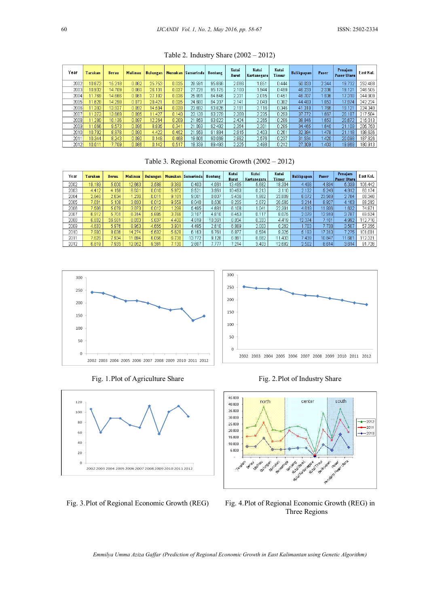| Year  | Tarakan | <b>Berau</b> | Malinau | <b>Bulungan</b> |       | Nunukan Samarinda | <b>Bontang</b> | Kutai<br>Barat | Kutai<br>Kartanegara | Kutai<br>Timur | <b>Balikpapan</b> | Paser | Penajam<br>Paser Utara | East Kal. |
|-------|---------|--------------|---------|-----------------|-------|-------------------|----------------|----------------|----------------------|----------------|-------------------|-------|------------------------|-----------|
| 2002  | 10.673  | 15.218       | 0.062   | 25.753          | 0.035 | 28.591            | 95.666         | 2.086          | .851                 | 0.444          | 50.033            | 2.344 | 19.732                 | 252.488   |
| 2003  | 10.932  | 14.709       | 0.060   | 26.131          | 0.037 | 27.228            | 95.175         | 2.100          | .944                 | 0.499          | 46.233            | 2.336 | 19.121                 | 246.505   |
| 2004) | 11.769  | 14.666       | 0.061   | 27.182          | 0.036 | 25.891            | 94.646         | 2.231          | 2.015                | 0.451          | 46.707            | .936  | 17.318                 | 244.909   |
| 2005  | 11.628  | 14.298       | 0.073   | 28.421          | 0.035 | 24.680            | 94.207         | 2.141          | 2.049                | 0.382          | 44 483            | .853  | 17.974                 | 242.224   |
| 2006  | 11.393  | 13.937       | 0.092   | 14.504          | 0.038 | 23.692            | 93.826         | 2.191          | 2.116                | 0.346          | 41.318            | .766  | 19.121                 | 224.340   |
| 2007  | 11.373  | 13.669       | 0.095   | 11.427          | 0.140 | 23.139            | 93.279         | 2.308          | 2.235                | 0.293          | 37.772            | .667  | 20.187                 | 217.584   |
| 2008  | 11.280  | 10.136       | 0.097   | 12.264          | 0.209 | 21.859            | 93.022         | 2.424          | 2.265                | 0.286          | 38.846            | .653  | 20.672                 | 215.013   |
| 2009  | 11.066  | 9.573        | 0.096   | 8.935           | 0.341 | 21.093            | 92.492         | 2.354          | 2.301                | 0.285          | 34.465            | .640  | 21.109                 | 205.750   |
| 2010) | 10.792  | 8.878        | 0.090   | 4.422           | 0.452 | 21.559            | 91.884         | 2.915          | 2.403                | 0.261          | 32.384            | 478   | 21.118                 | 198.636   |
| 2011  | 10.344  | 8.243        | 0.090   | 0.149           | 0.468 | 19.606            | 90.069         | 2.992          | 2.576                | 0.237          | 31.534            | .420  | 20.098                 | 187.826   |
| 2012  | 10.011  | 7.709        | 0.086   | 0.142           | 0.517 | 19.339            | 89.493         | 2.225          | 2.498                | 0.212          | 27.309            | .403  | 19.969                 | 180.913   |

Table 2. Industry Share (2002 – 2012)

Table 3. Regional Economic Growth (2002 – 2012)

| Year | Tarakan | <b>Berau</b> | Malinau | <b>Bulungan</b> |       | Nunukan Samarinda | <b>Bontang</b> | Kutai<br>Barat | Kutai<br>Kartanegara | Kutai<br>Timur | <b>Balikpapan</b> | Paser   | Penajam<br>Paser Utara | East Kal. |
|------|---------|--------------|---------|-----------------|-------|-------------------|----------------|----------------|----------------------|----------------|-------------------|---------|------------------------|-----------|
| 2002 | 19.189  | 5.000        | 12.663  | 3.588           | 9.389 | 0.400             | 4.061          | 13.495         | 5.682                | 18.304         | 4.498             | 4.834   | 5.339                  | 106.442   |
| 2003 | 4.412   | 4.158        | 6.031   | 0.010           | 5.972 | 9.521             | 3.961          | 10.493         | 0.213                | 3.110          | 2.132             | 5.249   | 4.912                  | 60.174    |
| 2004 | 2.646   | 2.634        | .236    | 0.011           | 9.181 | 9.001             | 0.007          | 5.436          | .962                 | 23.809         | 6.072             | 23.569  | 2.784                  | 88.348    |
| 2005 | 7.631   | 5.108        | 3.630   | 0.012           | 9.559 | 8.046             | 6.500          | 8.235          | 2.672                | 20.585         | 3.214             | 8.927   | 4.163                  | 88.282    |
| 2006 | 7.506   | 5.079        | 3.073   | 0.012           | 298   | 5.495             | 4.681          | 6.108          | 1.041                | 22.391         | 4.619             | '1.936  | .632                   | 74.871    |
| 2007 | 6.912   | 5.701        | 6.314   | 5.885           | 3.766 | 3.107             | 4.810          | 6.453          | 0.117                | 8.075          | 2.079             | 12.9181 | 3.787                  | 69.924    |
| 2008 | 6.832   | 36.581       | 8.033   | 5.637           | 4.400 | 4.819             | 10.361         | 6.834          | 0.333                | 4.419          | 12.374            | 7.101   | 4.992                  | 12.716    |
| 2009 | 4.633   | 5.976        | 8.953   | 4.655           | 3.931 | 4.495             | 2.610          | 6,889          | 2.003                | 0.262          | .703              | 7.738   | 3.507                  | 57.355    |
| 2010 | 7.930   | 8.036        | 14.274  | 5.632           | 5.628 | 6.163             | 6.761          | 6.877          | 0.594                | 9.325          | 5.193             | 17.313  | 275                    | 101.001   |
| 2011 | 7.626   | 7.934        | 1.894   | 6.056           | 6.738 | 13.772            | 9.128          | 6.891          | 0.882                | 11,433         | 7.439             | 10.847  | 11.681                 | 112.321   |
| 2012 | 6.819   | 7.933        | 12.052  | 9.381           | 7.130 | 2.607             | 1.777          | 7.214          | 3.403                | 12.682         | 2.502             | 8.614   | 3.614                  | 91.728    |



Fig. 1. Plot of Agriculture Share Fig. 2. Plot of Industry Share



300 250 200 150 100 50  $\mathbf{0}$ 2002 2003 2004 2005 2006 2007 2008 2009 2010 2011 2012



Fig. 3.Plot of Regional Economic Growth (REG) Fig. 4.Plot of Regional Economic Growth (REG) in Three Regions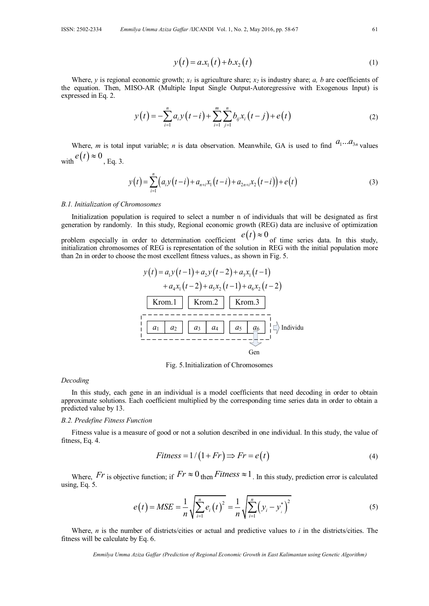$$
y(t) = a x_1(t) + b x_2(t)
$$
 (1)

Where, *y* is regional economic growth;  $x_l$  is agriculture share;  $x_l$  is industry share; *a, b* are coefficients of the equation. Then, MISO-AR (Multiple Input Single Output-Autoregressive with Exogenous Input) is expressed in Eq. 2.

$$
y(t) = -\sum_{i=1}^{n} a_i y(t-i) + \sum_{i=1}^{m} \sum_{j=1}^{n} b_{ij} x_i(t-j) + e(t)
$$
 (2)

Where, *m* is total input variable; *n* is data observation. Meanwhile, GA is used to find  $a_1...a_{3n}$  values with  $e(t) \approx 0$ , Eq. 3.

$$
y(t) = \sum_{i=1}^{n} (a_i y(t-i) + a_{n+i} x_1(t-i) + a_{2n+i} x_2(t-i)) + e(t)
$$
\n(3)

#### *B.1. Initialization of Chromosomes*

Initialization population is required to select a number n of individuals that will be designated as first generation by randomly. In this study, Regional economic growth (REG) data are inclusive of optimization

problem especially in order to determination coefficient  $e(t) \approx 0$  of time series data. In this study, initialization chromosomes of REG is representation of the solution in REG with the initial population more than 2n in order to choose the most excellent fitness values., as shown in Fig. 5.



Fig. 5.Initialization of Chromosomes

#### *Decoding*

In this study, each gene in an individual is a model coefficients that need decoding in order to obtain approximate solutions. Each coefficient multiplied by the corresponding time series data in order to obtain a predicted value by 13.

#### *B.2. Predefine Fitness Function*

Fitness value is a measure of good or not a solution described in one individual. In this study, the value of fitness, Eq. 4.

$$
Fitness = 1/(1 + Fr) \Rightarrow Fr = e(t)
$$
\n(4)

Where,  $Fr$  is objective function; if  $Fr \approx 0$  then Fitness  $\approx 1$ . In this study, prediction error is calculated using, Eq. 5.

$$
e(t) = MSE = \frac{1}{n} \sqrt{\sum_{i=1}^{n} e_i(t)^2} = \frac{1}{n} \sqrt{\sum_{i=1}^{n} (y_i - y_i^*)^2}
$$
(5)

Where, *n* is the number of districts/cities or actual and predictive values to *i* in the districts/cities. The fitness will be calculate by Eq. 6.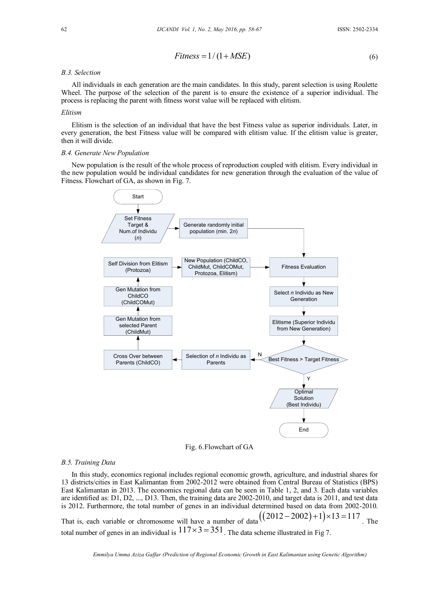$$
Fitness = 1/(1+MSE)
$$
\n(6)

#### *B.3. Selection*

All individuals in each generation are the main candidates. In this study, parent selection is using Roulette Wheel. The purpose of the selection of the parent is to ensure the existence of a superior individual. The process is replacing the parent with fitness worst value will be replaced with elitism.

#### *Elitism*

Elitism is the selection of an individual that have the best Fitness value as superior individuals. Later, in every generation, the best Fitness value will be compared with elitism value. If the elitism value is greater, then it will divide.

#### *B.4. Generate New Population*

New population is the result of the whole process of reproduction coupled with elitism. Every individual in the new population would be individual candidates for new generation through the evaluation of the value of Fitness. Flowchart of GA, as shown in Fig. 7.



Fig. 6.Flowchart of GA

#### *B.5. Training Data*

In this study, economics regional includes regional economic growth, agriculture, and industrial shares for 13 districts/cities in East Kalimantan from 2002-2012 were obtained from Central Bureau of Statistics (BPS) East Kalimantan in 2013. The economics regional data can be seen in Table 1, 2, and 3. Each data variables are identified as: D1, D2, ..., D13. Then, the training data are 2002-2010, and target data is 2011, and test data is 2012. Furthermore, the total number of genes in an individual determined based on data from 2002-2010. is 2012. Furthermore, the total number of genes in an individual determined based on data from 2002<br>That is, each variable or chromosome will have a number of data  $((2012-2002)+1)\times 13=117$ . The total number of genes in an individual is  $117 \times 3 = 351$ . The data scheme illustrated in Fig 7.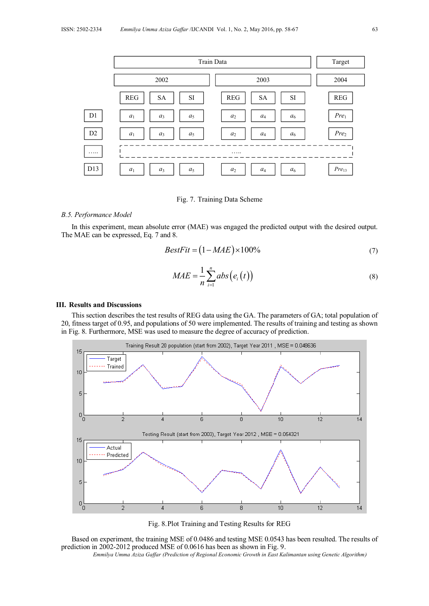

Fig. 7. Training Data Scheme

#### *B.5. Performance Model*

In this experiment, mean absolute error (MAE) was engaged the predicted output with the desired output. The MAE can be expressed, Eq. 7 and 8.

$$
BestFit = (1 - MAE) \times 100\% \tag{7}
$$

$$
MAE = \frac{1}{n} \sum_{i=1}^{n} abs(e_i(t))
$$
\n(8)

#### **III. Results and Discussions**

This section describes the test results of REG data using the GA. The parameters of GA; total population of 20, fitness target of 0.95, and populations of 50 were implemented. The results of training and testing as shown in Fig. 8. Furthermore, MSE was used to measure the degree of accuracy of prediction.



Fig. 8.Plot Training and Testing Results for REG

Based on experiment, the training MSE of 0.0486 and testing MSE 0.0543 has been resulted. The results of prediction in 2002-2012 produced MSE of 0.0616 has been as shown in Fig. 9.

*Emmilya Umma Aziza Gaffar (Prediction of Regional Economic Growth in East Kalimantan using Genetic Algorithm)*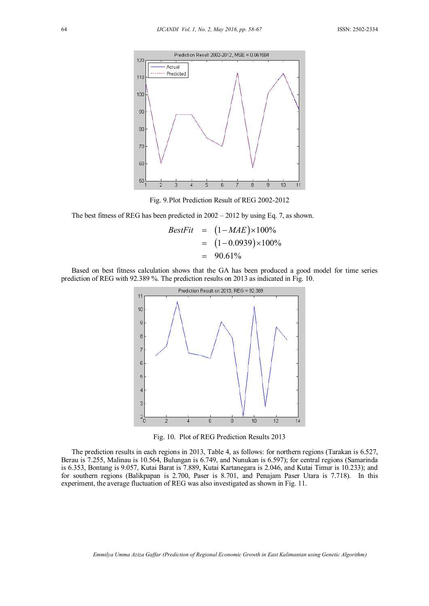

Fig. 9.Plot Prediction Result of REG 2002-2012

The best fitness of REG has been predicted in 2002 – 2012 by using Eq. 7, as shown.<br>  $BestFit = (1 - MAE) \times 100\%$ 

$$
BestFit = (1 - MAE) \times 100\%
$$
  
= (1 - 0.0939) \times 100\%  
= 90.61\%

Based on best fitness calculation shows that the GA has been produced a good model for time series prediction of REG with 92.389 %. The prediction results on 2013 as indicated in Fig. 10.



Fig. 10. Plot of REG Prediction Results 2013

The prediction results in each regions in 2013, Table 4, as follows: for northern regions (Tarakan is 6.527, Berau is 7.255, Malinau is 10.564, Bulungan is 6.749, and Nunukan is 6.597); for central regions (Samarinda is 6.353, Bontang is 9.057, Kutai Barat is 7.889, Kutai Kartanegara is 2.046, and Kutai Timur is 10.233); and for southern regions (Balikpapan is 2.700, Paser is 8.701, and Penajam Paser Utara is 7.718). In this experiment, the average fluctuation of REG was also investigated as shown in Fig. 11.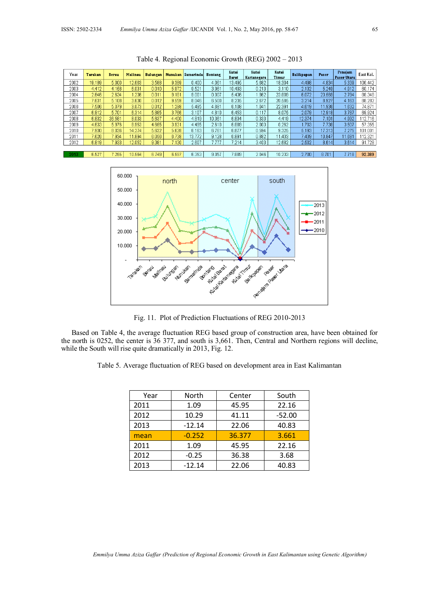| Year | Tarakan | <b>Berau</b> | Malinau | <b>Bulungan</b> |       | Nunukan Samarinda | <b>Bontang</b> | Kutai<br><b>Barat</b> | Kutai<br>Kartanegara | Kutai<br>Timur | <b>Balikpapan</b> | Paser  | Penajam<br>Paser Utara | East Kal. |
|------|---------|--------------|---------|-----------------|-------|-------------------|----------------|-----------------------|----------------------|----------------|-------------------|--------|------------------------|-----------|
| 2002 | 19.189  | 5.000        | 12.663  | 3.588           | 9,389 | 0.400             | 4.061          | 13.495                | 5.682                | 18.304         | 4.498             | 4.834  | 5.339                  | 106.442   |
| 2003 | 4.412   | 4.158        | 6.031   | 0.010           | 5.972 | 9.521             | 3,961          | 10.493                | 0.213                | 3.110          | 2.132             | 5.249  | 4.912                  | 60.174    |
| 2004 | 2.646   | 2.634        | 1.236   | 0.011           | 9.181 | 9.001             | 0.007          | 5.436                 | 1.962                | 23.809         | 6.072             | 23.569 | 2.784                  | 88,348    |
| 2005 | 7.631   | 5.108        | 3.630   | 0.012           | 9.559 | 8.046             | 6,500          | 8.235                 | 2.672                | 20.585         | 3.214             | 8.927  | 4.163                  | 88.282    |
| 2006 | 7.506   | 5.079        | 3.073   | 0.012           | 1.298 | 5.495             | 4.681          | 6.108                 | 1.041                | 22.391         | 4.619             | 11.936 | .632                   | 74.871    |
| 2007 | 6.912   | 5.701        | 6.314   | 5.885           | 3.766 | 3.107             | 4.810          | 6.453                 | 0.117                | 8.075          | 2.079             | 12.918 | 3.787                  | 69.924    |
| 2008 | 6.832   | 36.581       | 8.033   | 5.637           | 4,400 | 4.819             | 10.361         | 6.834                 | 0.333                | 4.419          | 12.374            | 7.101  | 4.992                  | 112.716   |
| 2009 | 4.633   | 5.976        | 8.953   | 4.655           | 3.931 | 4.495             | 2.610          | 6.889                 | 2.003                | 0.262          | .703              | 7.738  | 3.507                  | 57.355    |
| 2010 | 7.930   | 8.036        | 14.274  | 5.632           | 5.628 | 6.163             | 6.761          | 6.877                 | 0.594                | 9.325          | 5.193             | 17.313 | 7.275                  | 101.001   |
| 2011 | 7.626   | 7.934        | 11.894  | 6.056           | 6.738 | 13.772            | 9.128          | 6,891                 | 0.882                | 11.433         | 7.439             | 10.847 | 11.681                 | 112.321   |
| 2012 | 6.819   | 7.933        | 12.052  | 9.381           | 7.130 | 2.607             | '.777          | 7.214                 | 3.403                | 12.682         | 2.502             | 8.614  | 3.614                  | 91.728    |
|      |         |              |         |                 |       |                   |                |                       |                      |                |                   |        |                        |           |
| 2013 | 6.527   | 7.255        | 10.564  | 6.749           | 6.597 | 6.353             | 9.057          | .889                  | 2.046                | 10.233         | 2.700             | 8.701  | 7.718                  | 92.389    |

Table 4. Regional Economic Growth (REG) 2002 – 2013



Fig. 11. Plot of Prediction Fluctuations of REG 2010-2013

Based on Table 4, the average fluctuation REG based group of construction area, have been obtained for the north is 0252, the center is 36 377, and south is 3,661. Then, Central and Northern regions will decline, while the South will rise quite dramatically in 2013, Fig. 12.

Table 5. Average fluctuation of REG based on development area in East Kalimantan

| Year | North    | Center | South    |
|------|----------|--------|----------|
| 2011 | 1.09     | 45.95  | 22.16    |
| 2012 | 10.29    | 41.11  | $-52.00$ |
| 2013 | $-12.14$ | 22.06  | 40.83    |
| mean | $-0.252$ | 36.377 | 3.661    |
| 2011 | 1.09     | 45.95  | 22.16    |
| 2012 | $-0.25$  | 36.38  | 3.68     |
| 2013 | $-12.14$ | 22.06  | 40.83    |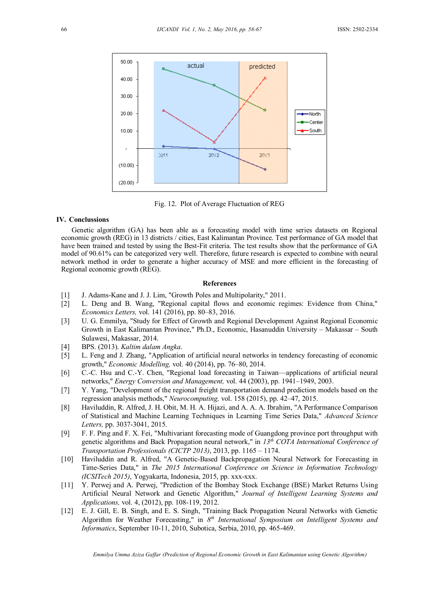

Fig. 12. Plot of Average Fluctuation of REG

#### **IV. Conclussions**

Genetic algorithm (GA) has been able as a forecasting model with time series datasets on Regional economic growth (REG) in 13 districts / cities, East Kalimantan Province. Test performance of GA model that have been trained and tested by using the Best-Fit criteria. The test results show that the performance of GA model of 90.61% can be categorized very well. Therefore, future research is expected to combine with neural network method in order to generate a higher accuracy of MSE and more efficient in the forecasting of Regional economic growth (REG).

#### **References**

- <span id="page-8-0"></span>[1] J. Adams-Kane and J. J. Lim, "Growth Poles and Multipolarity," 2011.
- <span id="page-8-1"></span>[2] L. Deng and B. Wang, "Regional capital flows and economic regimes: Evidence from China," *Economics Letters,* vol. 141 (2016), pp. 80–83, 2016.
- <span id="page-8-2"></span>[3] U. G. Emmilya, "Study for Effect of Growth and Regional Development Against Regional Economic Growth in East Kalimantan Province," Ph.D., Economic, Hasanuddin University – Makassar – South Sulawesi, Makassar, 2014.
- <span id="page-8-3"></span>[4] BPS. (2013). *Kaltim dalam Angka*.
- <span id="page-8-4"></span>[5] L. Feng and J. Zhang, "Application of artificial neural networks in tendency forecasting of economic growth," *Economic Modelling,* vol. 40 (2014), pp. 76–80, 2014.
- <span id="page-8-5"></span>[6] C.-C. Hsu and C.-Y. Chen, "Regional load forecasting in Taiwan––applications of artificial neural networks," *Energy Conversion and Management,* vol. 44 (2003), pp. 1941–1949, 2003.
- <span id="page-8-6"></span>[7] Y. Yang, "Development of the regional freight transportation demand prediction models based on the regression analysis methods," *Neurocomputing,* vol. 158 (2015), pp. 42–47, 2015.
- <span id="page-8-7"></span>[8] Haviluddin, R. Alfred, J. H. Obit, M. H. A. Hijazi, and A. A. A. Ibrahim, "A Performance Comparison of Statistical and Machine Learning Techniques in Learning Time Series Data," *Advanced Science Letters,* pp. 3037-3041, 2015.
- <span id="page-8-8"></span>[9] F. F. Ping and F. X. Fei, "Multivariant forecasting mode of Guangdong province port throughput with genetic algorithms and Back Propagation neural network," in *13th COTA International Conference of Transportation Professionals (CICTP 2013)*, 2013, pp. 1165 – 1174.
- <span id="page-8-9"></span>[10] Haviluddin and R. Alfred, "A Genetic-Based Backpropagation Neural Network for Forecasting in Time-Series Data," in *The 2015 International Conference on Science in Information Technology (ICSITech 2015)*, Yogyakarta, Indonesia, 2015, pp. xxx-xxx.
- <span id="page-8-10"></span>[11] Y. Perwej and A. Perwej, "Prediction of the Bombay Stock Exchange (BSE) Market Returns Using Artificial Neural Network and Genetic Algorithm," *Journal of Intelligent Learning Systems and Applications,* vol. 4, (2012), pp. 108-119, 2012.
- [12] E. J. Gill, E. B. Singh, and E. S. Singh, "Training Back Propagation Neural Networks with Genetic Algorithm for Weather Forecasting," in 8<sup>th</sup> International Symposium on Intelligent Systems and *Informatics*, September 10-11, 2010, Subotica, Serbia, 2010, pp. 465-469.